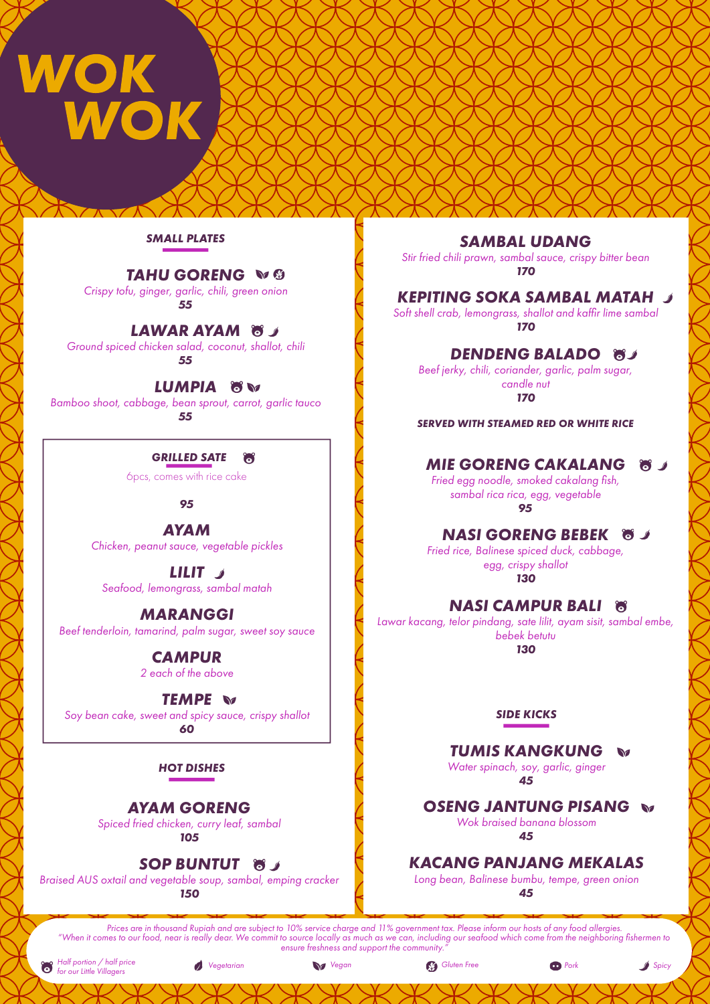# **WOK<br>WOK**

#### *SMALL PLATES*

# *TAHU GORENG*

*Crispy tofu, ginger, garlic, chili, green onion 55*

# *LAWAR AYAM*

*Ground spiced chicken salad, coconut, shallot, chili 55*

#### *LUMPIA*

*Bamboo shoot, cabbage, bean sprout, carrot, garlic tauco 55*

# *GRILLED SATE*

6pcs, comes with rice cake

#### *95*

*AYAM Chicken, peanut sauce, vegetable pickles*

*LILIT Seafood, lemongrass, sambal matah*

# *MARANGGI*

*Beef tenderloin, tamarind, palm sugar, sweet soy sauce*

*CAMPUR 2 each of the above*

# *TEMPE*

*Soy bean cake, sweet and spicy sauce, crispy shallot 60*

#### *HOT DISHES*

# *AYAM GORENG*

*Spiced fried chicken, curry leaf, sambal*

*105*

# **SOP BUNTUT 85**

*Braised AUS oxtail and vegetable soup, sambal, emping cracker 150*

# *SAMBAL UDANG*

*Stir fried chili prawn, sambal sauce, crispy bitter bean 170*

# *KEPITING SOKA SAMBAL MATAH*

*Soft shell crab, lemongrass, shallot and kaffir lime sambal 170*

# *DENDENG BALADO*

*Beef jerky, chili, coriander, garlic, palm sugar, candle nut 170*

*SERVED WITH STEAMED RED OR WHITE RICE*

#### *MIE GORENG CAKALANG* **87**

*Fried egg noodle, smoked cakalang fish, sambal rica rica, egg, vegetable 95*

# *NASI GORENG BEBEK*

*Fried rice, Balinese spiced duck, cabbage, egg, crispy shallot 130*

# *NASI CAMPUR BALI*

*Lawar kacang, telor pindang, sate lilit, ayam sisit, sambal embe, bebek betutu*

*130*

#### *SIDE KICKS*

# *TUMIS KANGKUNG*

*Water spinach, soy, garlic, ginger 45*

*OSENG JANTUNG PISANG Wok braised banana blossom*

*45*

# *KACANG PANJANG MEKALAS*

*Long bean, Balinese bumbu, tempe, green onion 45*

*Prices are in thousand Rupiah and are subject to 10% service charge and 11% government tax. Please inform our hosts of any food allergies. "When it comes to our food, near is really dear. We commit to source locally as much as we can, including our seafood which come from the neighboring fishermen to ensure freshness and support the community."*

*Half portion / half price for our Little Villagers Vegetarian Vegan Gluten Free Pork Spicy*